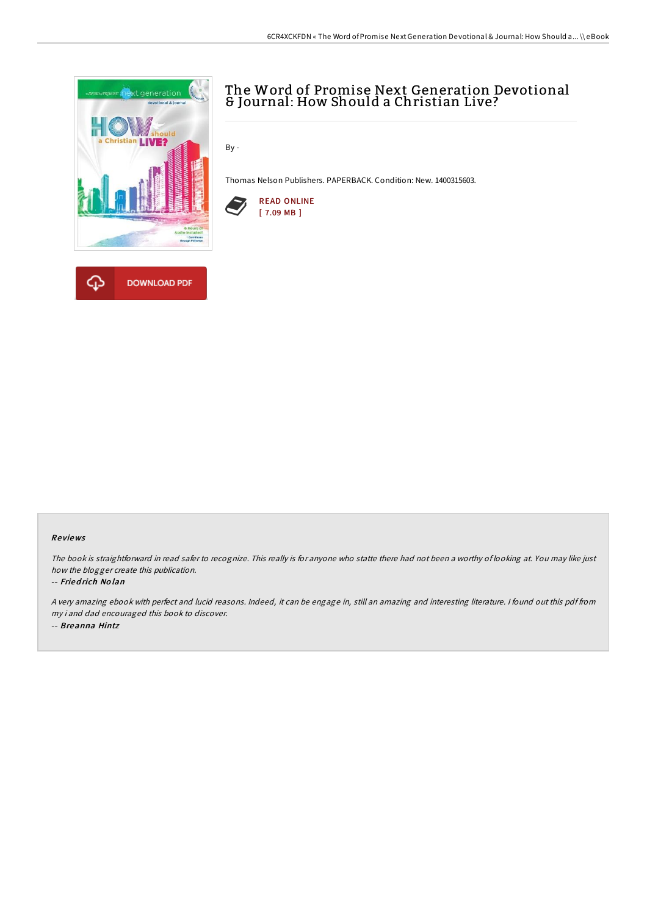

# The Word of Promise Next Generation Devotional & Journal: How Should a Christian Live?

By -

Thomas Nelson Publishers. PAPERBACK. Condition: New. 1400315603.



### Re views

The book is straightforward in read safer to recognize. This really is for anyone who statte there had not been <sup>a</sup> worthy of looking at. You may like just how the blogger create this publication.

#### -- Fried rich No lan

<sup>A</sup> very amazing ebook with perfect and lucid reasons. Indeed, it can be engage in, still an amazing and interesting literature. <sup>I</sup> found out this pdf from my i and dad encouraged this book to discover. -- Breanna Hintz